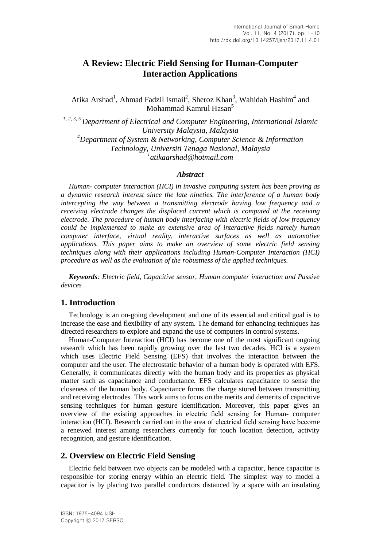# **A Review: Electric Field Sensing for Human-Computer Interaction Applications**

Atika Arshad<sup>1</sup>, Ahmad Fadzil Ismail<sup>2</sup>, Sheroz Khan<sup>3</sup>, Wahidah Hashim<sup>4</sup> and Mohammad Kamrul Hasan<sup>5</sup>

*1, 2, 3, <sup>5</sup>Department of Electrical and Computer Engineering, International Islamic University Malaysia, Malaysia <sup>4</sup>Department of System & Networking, Computer Science & Information Technology, Universiti Tenaga Nasional, Malaysia 1 atikaarshad@hotmail.com*

#### *Abstract*

*Human- computer interaction (HCI) in invasive computing system has been proving as a dynamic research interest since the late nineties. The interference of a human body intercepting the way between a transmitting electrode having low frequency and a receiving electrode changes the displaced current which is computed at the receiving electrode. The procedure of human body interfacing with electric fields of low frequency could be implemented to make an extensive area of interactive fields namely human computer interface, virtual reality, interactive surfaces as well as automotive applications. This paper aims to make an overview of some electric field sensing techniques along with their applications including Human-Computer Interaction (HCI) procedure as well as the evaluation of the robustness of the applied techniques.*

*Keywords: Electric field, Capacitive sensor, Human computer interaction and Passive devices*

## **1. Introduction**

Technology is an on-going development and one of its essential and critical goal is to increase the ease and flexibility of any system. The demand for enhancing techniques has directed researchers to explore and expand the use of computers in control systems.

Human-Computer Interaction (HCI) has become one of the most significant ongoing research which has been rapidly growing over the last two decades. HCI is a system which uses Electric Field Sensing (EFS) that involves the interaction between the computer and the user. The electrostatic behavior of a human body is operated with EFS. Generally, it communicates directly with the human body and its properties as physical matter such as capacitance and conductance. EFS calculates capacitance to sense the closeness of the human body. Capacitance forms the charge stored between transmitting and receiving electrodes. This work aims to focus on the merits and demerits of capacitive sensing techniques for human gesture identification. Moreover, this paper gives an overview of the existing approaches in electric field sensing for Human- computer interaction (HCI). Research carried out in the area of electrical field sensing have become a renewed interest among researchers currently for touch location detection, activity recognition, and gesture identification.

# **2. Overview on Electric Field Sensing**

Electric field between two objects can be modeled with a capacitor, hence capacitor is responsible for storing energy within an electric field. The simplest way to model a capacitor is by placing two parallel conductors distanced by a space with an insulating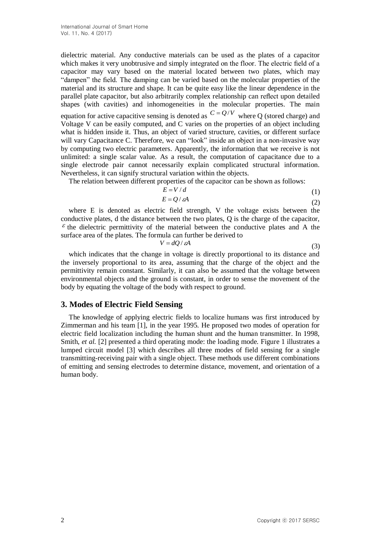dielectric material. Any conductive materials can be used as the plates of a capacitor which makes it very unobtrusive and simply integrated on the floor. The electric field of a capacitor may vary based on the material located between two plates, which may "dampen" the field. The damping can be varied based on the molecular properties of the material and its structure and shape. It can be quite easy like the linear dependence in the parallel plate capacitor, but also arbitrarily complex relationship can reflect upon detailed shapes (with cavities) and inhomogeneities in the molecular properties. The main equation for active capacitive sensing is denoted as  $C = Q/V$  where Q (stored charge) and Voltage V can be easily computed, and C varies on the properties of an object including what is hidden inside it. Thus, an object of varied structure, cavities, or different surface will vary Capacitance C. Therefore, we can "look" inside an object in a non-invasive way by computing two electric parameters. Apparently, the information that we receive is not unlimited: a single scalar value. As a result, the computation of capacitance due to a single electrode pair cannot necessarily explain complicated structural information. Nevertheless, it can signify structural variation within the objects.

The relation between different properties of the capacitor can be shown as follows:<br> $F = V/d$ 

$$
E = V/d \tag{1}
$$

$$
E = Q / \varepsilon A \tag{2}
$$

where E is denoted as electric field strength, V the voltage exists between the conductive plates, d the distance between the two plates, Q is the charge of the capacitor,  $\epsilon$  the dielectric permittivity of the material between the conductive plates and A the surface area of the plates. The formula can further be derived to

$$
V = dQ / \varepsilon A \tag{3}
$$

which indicates that the change in voltage is directly proportional to its distance and the inversely proportional to its area, assuming that the charge of the object and the permittivity remain constant. Similarly, it can also be assumed that the voltage between environmental objects and the ground is constant, in order to sense the movement of the body by equating the voltage of the body with respect to ground.

#### **3. Modes of Electric Field Sensing**

The knowledge of applying electric fields to localize humans was first introduced by Zimmerman and his team [1], in the year 1995. He proposed two modes of operation for electric field localization including the human shunt and the human transmitter. In 1998, Smith, *et al.* [2] presented a third operating mode: the loading mode. Figure 1 illustrates a lumped circuit model [3] which describes all three modes of field sensing for a single transmitting-receiving pair with a single object. These methods use different combinations of emitting and sensing electrodes to determine distance, movement, and orientation of a human body.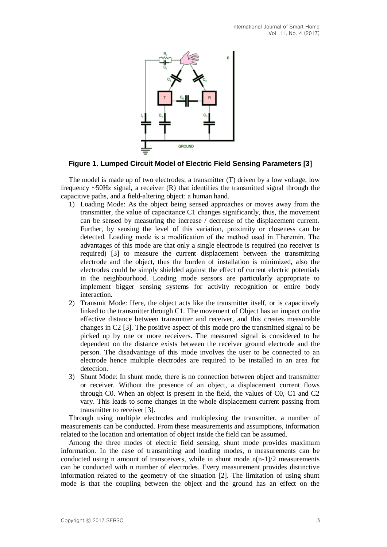

**Figure 1. Lumped Circuit Model of Electric Field Sensing Parameters [3]**

The model is made up of two electrodes; a transmitter (T) driven by a low voltage, low frequency  $\sim$ 50Hz signal, a receiver (R) that identifies the transmitted signal through the capacitive paths, and a field-altering object: a human hand.

- 1) Loading Mode: As the object being sensed approaches or moves away from the transmitter, the value of capacitance C1 changes significantly, thus, the movement can be sensed by measuring the increase / decrease of the displacement current. Further, by sensing the level of this variation, proximity or closeness can be detected. Loading mode is a modification of the method used in Theremin. The advantages of this mode are that only a single electrode is required (no receiver is required) [3] to measure the current displacement between the transmitting electrode and the object, thus the burden of installation is minimized, also the electrodes could be simply shielded against the effect of current electric potentials in the neighbourhood. Loading mode sensors are particularly appropriate to implement bigger sensing systems for activity recognition or entire body interaction.
- 2) Transmit Mode: Here, the object acts like the transmitter itself, or is capacitively linked to the transmitter through C1. The movement of Object has an impact on the effective distance between transmitter and receiver, and this creates measurable changes in C2 [3]. The positive aspect of this mode pro the transmitted signal to be picked up by one or more receivers. The measured signal is considered to be dependent on the distance exists between the receiver ground electrode and the person. The disadvantage of this mode involves the user to be connected to an electrode hence multiple electrodes are required to be installed in an area for detection.
- 3) Shunt Mode: In shunt mode, there is no connection between object and transmitter or receiver. Without the presence of an object, a displacement current flows through C0. When an object is present in the field, the values of C0, C1 and C2 vary. This leads to some changes in the whole displacement current passing from transmitter to receiver [3].

Through using multiple electrodes and multiplexing the transmitter, a number of measurements can be conducted. From these measurements and assumptions, information related to the location and orientation of object inside the field can be assumed.

Among the three modes of electric field sensing, shunt mode provides maximum information. In the case of transmitting and loading modes, n measurements can be conducted using n amount of transceivers, while in shunt mode  $n(n-1)/2$  measurements can be conducted with n number of electrodes. Every measurement provides distinctive information related to the geometry of the situation [2]. The limitation of using shunt mode is that the coupling between the object and the ground has an effect on the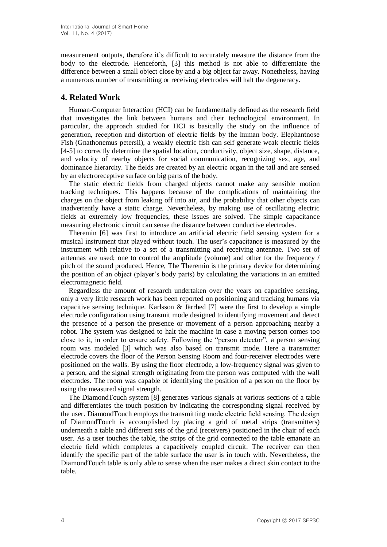measurement outputs, therefore it's difficult to accurately measure the distance from the body to the electrode. Henceforth, [3] this method is not able to differentiate the difference between a small object close by and a big object far away. Nonetheless, having a numerous number of transmitting or receiving electrodes will halt the degeneracy.

# **4. Related Work**

Human-Computer Interaction (HCI) can be fundamentally defined as the research field that investigates the link between humans and their technological environment. In particular, the approach studied for HCI is basically the study on the influence of generation, reception and distortion of electric fields by the human body. Elephantnose Fish (Gnathonemus petersii), a weakly electric fish can self generate weak electric fields [4-5] to correctly determine the spatial location, conductivity, object size, shape, distance, and velocity of nearby objects for social communication, recognizing sex, age, and dominance hierarchy. The fields are created by an electric organ in the tail and are sensed by an electroreceptive surface on big parts of the body.

The static electric fields from charged objects cannot make any sensible motion tracking techniques. This happens because of the complications of maintaining the charges on the object from leaking off into air, and the probability that other objects can inadvertently have a static charge. Nevertheless, by making use of oscillating electric fields at extremely low frequencies, these issues are solved. The simple capacitance measuring electronic circuit can sense the distance between conductive electrodes.

Theremin [6] was first to introduce an artificial electric field sensing system for a musical instrument that played without touch. The user's capacitance is measured by the instrument with relative to a set of a transmitting and receiving antennae. Two set of antennas are used; one to control the amplitude (volume) and other for the frequency / pitch of the sound produced. Hence, The Theremin is the primary device for determining the position of an object (player's body parts) by calculating the variations in an emitted electromagnetic field.

Regardless the amount of research undertaken over the years on capacitive sensing, only a very little research work has been reported on positioning and tracking humans via capacitive sensing technique. Karlsson & Järrhed [7] were the first to develop a simple electrode configuration using transmit mode designed to identifying movement and detect the presence of a person the presence or movement of a person approaching nearby a robot. The system was designed to halt the machine in case a moving person comes too close to it, in order to ensure safety. Following the "person detector", a person sensing room was modeled [3] which was also based on transmit mode. Here a transmitter electrode covers the floor of the Person Sensing Room and four-receiver electrodes were positioned on the walls. By using the floor electrode, a low-frequency signal was given to a person, and the signal strength originating from the person was computed with the wall electrodes. The room was capable of identifying the position of a person on the floor by using the measured signal strength.

The DiamondTouch system [8] generates various signals at various sections of a table and differentiates the touch position by indicating the corresponding signal received by the user. DiamondTouch employs the transmitting mode electric field sensing. The design of DiamondTouch is accomplished by placing a grid of metal strips (transmitters) underneath a table and different sets of the grid (receivers) positioned in the chair of each user. As a user touches the table, the strips of the grid connected to the table emanate an electric field which completes a capacitively coupled circuit. The receiver can then identify the specific part of the table surface the user is in touch with. Nevertheless, the DiamondTouch table is only able to sense when the user makes a direct skin contact to the table.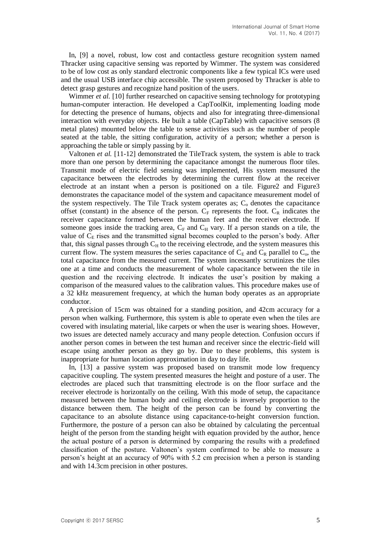In, [9] a novel, robust, low cost and contactless gesture recognition system named Thracker using capacitive sensing was reported by Wimmer. The system was considered to be of low cost as only standard electronic components like a few typical ICs were used and the usual USB interface chip accessible. The system proposed by Thracker is able to detect grasp gestures and recognize hand position of the users.

Wimmer *et al.* [10] further researched on capacitive sensing technology for prototyping human-computer interaction. He developed a CapToolKit, implementing loading mode for detecting the presence of humans, objects and also for integrating three-dimensional interaction with everyday objects. He built a table (CapTable) with capacitive sensors (8 metal plates) mounted below the table to sense activities such as the number of people seated at the table, the sitting configuration, activity of a person; whether a person is approaching the table or simply passing by it.

Valtonen *et al.* [11-12] demonstrated the TileTrack system, the system is able to track more than one person by determining the capacitance amongst the numerous floor tiles. Transmit mode of electric field sensing was implemented, His system measured the capacitance between the electrodes by determining the current flow at the receiver electrode at an instant when a person is positioned on a tile. Figure2 and Figure3 demonstrates the capacitance model of the system and capacitance measurement model of the system respectively. The Tile Track system operates as;  $C_0$  denotes the capacitance offset (constant) in the absence of the person.  $C_F$  represents the foot.  $C_R$  indicates the receiver capacitance formed between the human feet and the receiver electrode. If someone goes inside the tracking area,  $C_F$  and  $C_H$  vary. If a person stands on a tile, the value of  $C<sub>E</sub>$  rises and the transmitted signal becomes coupled to the person's body. After that, this signal passes through  $C_H$  to the receiving electrode, and the system measures this current flow. The system measures the series capacitance of  $C_E$  and  $C_R$  parallel to  $C_o$ , the total capacitance from the measured current. The system incessantly scrutinizes the tiles one at a time and conducts the measurement of whole capacitance between the tile in question and the receiving electrode. It indicates the user's position by making a comparison of the measured values to the calibration values. This procedure makes use of a 32 kHz measurement frequency, at which the human body operates as an appropriate conductor.

A precision of 15cm was obtained for a standing position, and 42cm accuracy for a person when walking. Furthermore, this system is able to operate even when the tiles are covered with insulating material, like carpets or when the user is wearing shoes. However, two issues are detected namely accuracy and many people detection. Confusion occurs if another person comes in between the test human and receiver since the electric-field will escape using another person as they go by. Due to these problems, this system is inappropriate for human location approximation in day to day life.

In, [13] a passive system was proposed based on transmit mode low frequency capacitive coupling. The system presented measures the height and posture of a user. The electrodes are placed such that transmitting electrode is on the floor surface and the receiver electrode is horizontally on the ceiling. With this mode of setup, the capacitance measured between the human body and ceiling electrode is inversely proportion to the distance between them. The height of the person can be found by converting the capacitance to an absolute distance using capacitance-to-height conversion function. Furthermore, the posture of a person can also be obtained by calculating the percentual height of the person from the standing height with equation provided by the author, hence the actual posture of a person is determined by comparing the results with a predefined classification of the posture. Valtonen's system confirmed to be able to measure a person's height at an accuracy of 90% with 5.2 cm precision when a person is standing and with 14.3cm precision in other postures.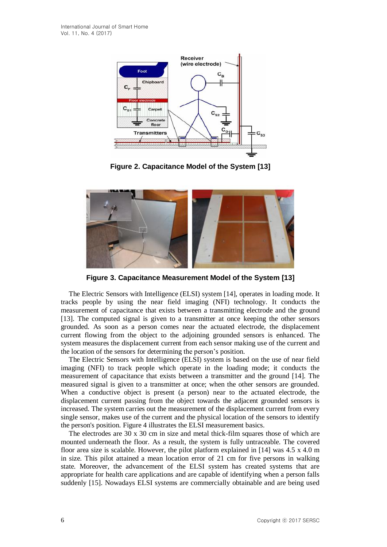

**Figure 2. Capacitance Model of the System [13]**



**Figure 3. Capacitance Measurement Model of the System [13]**

The Electric Sensors with Intelligence (ELSI) system [14], operates in loading mode. It tracks people by using the near field imaging (NFI) technology. It conducts the measurement of capacitance that exists between a transmitting electrode and the ground [13]. The computed signal is given to a transmitter at once keeping the other sensors grounded. As soon as a person comes near the actuated electrode, the displacement current flowing from the object to the adjoining grounded sensors is enhanced. The system measures the displacement current from each sensor making use of the current and the location of the sensors for determining the person's position.

The Electric Sensors with Intelligence (ELSI) system is based on the use of near field imaging (NFI) to track people which operate in the loading mode; it conducts the measurement of capacitance that exists between a transmitter and the ground [14]. The measured signal is given to a transmitter at once; when the other sensors are grounded. When a conductive object is present (a person) near to the actuated electrode, the displacement current passing from the object towards the adjacent grounded sensors is increased. The system carries out the measurement of the displacement current from every single sensor, makes use of the current and the physical location of the sensors to identify the person's position. Figure 4 illustrates the ELSI measurement basics.

The electrodes are 30 x 30 cm in size and metal thick-film squares those of which are mounted underneath the floor. As a result, the system is fully untraceable. The covered floor area size is scalable. However, the pilot platform explained in [14] was 4.5 x 4.0 m in size. This pilot attained a mean location error of 21 cm for five persons in walking state. Moreover, the advancement of the ELSI system has created systems that are appropriate for health care applications and are capable of identifying when a person falls suddenly [15]. Nowadays ELSI systems are commercially obtainable and are being used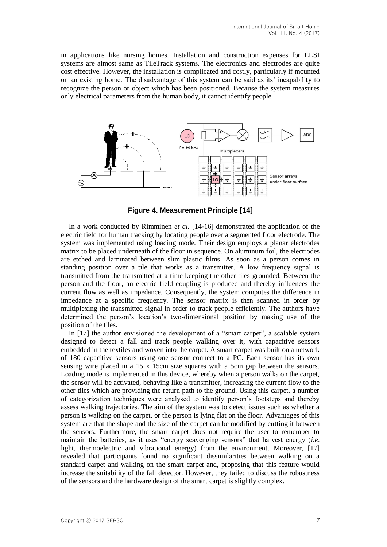in applications like nursing homes. Installation and construction expenses for ELSI systems are almost same as TileTrack systems. The electronics and electrodes are quite cost effective. However, the installation is complicated and costly, particularly if mounted on an existing home. The disadvantage of this system can be said as its' incapability to recognize the person or object which has been positioned. Because the system measures only electrical parameters from the human body, it cannot identify people.



**Figure 4. Measurement Principle [14]**

In a work conducted by Rimminen *et al.* [14-16] demonstrated the application of the electric field for human tracking by locating people over a segmented floor electrode. The system was implemented using loading mode. Their design employs a planar electrodes matrix to be placed underneath of the floor in sequence. On aluminum foil, the electrodes are etched and laminated between slim plastic films. As soon as a person comes in standing position over a tile that works as a transmitter. A low frequency signal is transmitted from the transmitted at a time keeping the other tiles grounded. Between the person and the floor, an electric field coupling is produced and thereby influences the current flow as well as impedance. Consequently, the system computes the difference in impedance at a specific frequency. The sensor matrix is then scanned in order by multiplexing the transmitted signal in order to track people efficiently. The authors have determined the person's location's two-dimensional position by making use of the position of the tiles.

In [17] the author envisioned the development of a "smart carpet", a scalable system designed to detect a fall and track people walking over it, with capacitive sensors embedded in the textiles and woven into the carpet. A smart carpet was built on a network of 180 capacitive sensors using one sensor connect to a PC. Each sensor has its own sensing wire placed in a 15 x 15cm size squares with a 5cm gap between the sensors. Loading mode is implemented in this device, whereby when a person walks on the carpet, the sensor will be activated, behaving like a transmitter, increasing the current flow to the other tiles which are providing the return path to the ground. Using this carpet, a number of categorization techniques were analysed to identify person's footsteps and thereby assess walking trajectories. The aim of the system was to detect issues such as whether a person is walking on the carpet, or the person is lying flat on the floor. Advantages of this system are that the shape and the size of the carpet can be modified by cutting it between the sensors. Furthermore, the smart carpet does not require the user to remember to maintain the batteries, as it uses "energy scavenging sensors" that harvest energy (*i.e*. light, thermoelectric and vibrational energy) from the environment. Moreover, [17] revealed that participants found no significant dissimilarities between walking on a standard carpet and walking on the smart carpet and, proposing that this feature would increase the suitability of the fall detector. However, they failed to discuss the robustness of the sensors and the hardware design of the smart carpet is slightly complex.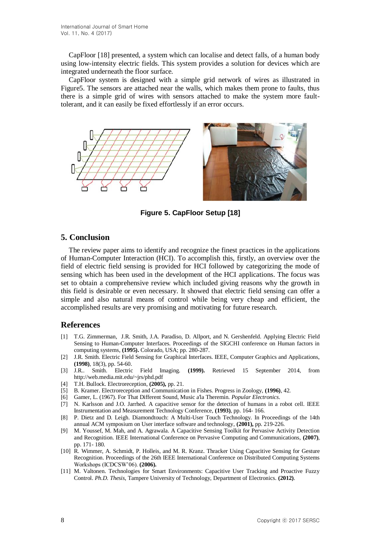CapFloor [18] presented, a system which can localise and detect falls, of a human body using low-intensity electric fields. This system provides a solution for devices which are integrated underneath the floor surface.

CapFloor system is designed with a simple grid network of wires as illustrated in Figure5. The sensors are attached near the walls, which makes them prone to faults, thus there is a simple grid of wires with sensors attached to make the system more faulttolerant, and it can easily be fixed effortlessly if an error occurs.



**Figure 5. CapFloor Setup [18]**

## **5. Conclusion**

The review paper aims to identify and recognize the finest practices in the applications of Human-Computer Interaction (HCI). To accomplish this, firstly, an overview over the field of electric field sensing is provided for HCI followed by categorizing the mode of sensing which has been used in the development of the HCI applications. The focus was set to obtain a comprehensive review which included giving reasons why the growth in this field is desirable or even necessary. It showed that electric field sensing can offer a simple and also natural means of control while being very cheap and efficient, the accomplished results are very promising and motivating for future research.

#### **References**

- [1] T.G. Zimmerman, J.R. Smith, J.A. Paradiso, D. Allport, and N. Gershenfeld. Applying Electric Field Sensing to Human-Computer Interfaces. Proceedings of the SIGCHI conference on Human factors in computing systems, **(1995).** Colorado, USA; pp. 280-287.
- [2] J.R. Smith. Electric Field Sensing for Graphical Interfaces. IEEE, Computer Graphics and Applications,
- **(1998)**, 18(3), pp. 54-60.<br> **[3]** J.R.. Smith. Electric Smith. Electric Field Imaging. (1999). Retrieved 15 September 2014, from http://web.media.mit.edu/~jrs/phd.pdf
- [4] T.H. Bullock. Electroreception, **(2005),** pp. 21.
- [5] B. Kramer. Electroreception and Communication in Fishes. Progress in Zoology, **(1996)**, 42.
- [6] Gamer, L. (1967). For That Different Sound, Music a'la Theremin. *Popular Electronics*.
- [7] N. Karlsson and J.O. Jarrhed. A capacitive sensor for the detection of humans in a robot cell. IEEE Instrumentation and Measurement Technology Conference, **(1993)**, pp. 164- 166.
- [8] P. Dietz and D. Leigh. Diamondtouch: A Multi-User Touch Technology. In Proceedings of the 14th annual ACM symposium on User interface software and technology, **(2001),** pp. 219-226.
- [9] M. Youssef, M. Mah, and A. Agrawala. A Capacitive Sensing Toolkit for Pervasive Activity Detection and Recognition. IEEE International Conference on Pervasive Computing and Communications, **(2007)**, pp. 171- 180.
- [10] R. Wimmer, A. Schmidt, P. Holleis, and M. R. Kranz. Thracker Using Capacitive Sensing for Gesture Recognition. Proceedings of the 26th IEEE International Conference on Distributed Computing Systems Workshops (ICDCSW'06). **(2006).**
- [11] M. Valtonen. Technologies for Smart Environments: Capacitive User Tracking and Proactive Fuzzy Control. *Ph.D. Thesis*, Tampere University of Technology, Department of Electronics. **(2012)**.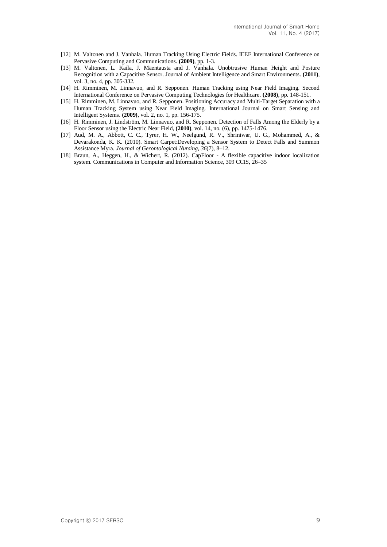- [12] M. Valtonen and J. Vanhala. Human Tracking Using Electric Fields. IEEE International Conference on Pervasive Computing and Communications. **(2009)**, pp. 1-3.
- [13] M. Valtonen, L. Kaila, J. Mäentausta and J. Vanhala. Unobtrusive Human Height and Posture Recognition with a Capacitive Sensor. Journal of Ambient Intelligence and Smart Environments. **(2011)**, vol. 3, no. 4, pp. 305-332.
- [14] H. Rimminen, M. Linnavuo, and R. Sepponen. Human Tracking using Near Field Imaging. Second International Conference on Pervasive Computing Technologies for Healthcare*.* **(2008)**, pp. 148-151.
- [15] H. Rimminen, M. Linnavuo, and R. Sepponen. Positioning Accuracy and Multi-Target Separation with a Human Tracking System using Near Field Imaging. International Journal on Smart Sensing and Intelligent Systems. **(2009)**, vol. 2, no. 1, pp. 156-175.
- [16] H. Rimminen, J. Lindström, M. Linnavuo, and R. Sepponen. Detection of Falls Among the Elderly by a Floor Sensor using the Electric Near Field, **(2010)**, vol. 14, no. (6), pp. 1475-1476.
- [17] Aud, M. A., Abbott, C. C., Tyrer, H. W., Neelgund, R. V., Shriniwar, U. G., Mohammed, A., & Devarakonda, K. K. (2010). Smart Carpet:Developing a Sensor System to Detect Falls and Summon Assistance Myra. *Journal of Gerontological Nursing*, *36*(7), 8–12.
- [18] Braun, A., Heggen, H., & Wichert, R. (2012). CapFloor A flexible capacitive indoor localization system. Communications in Computer and Information Science, 309 CCIS, 26–35